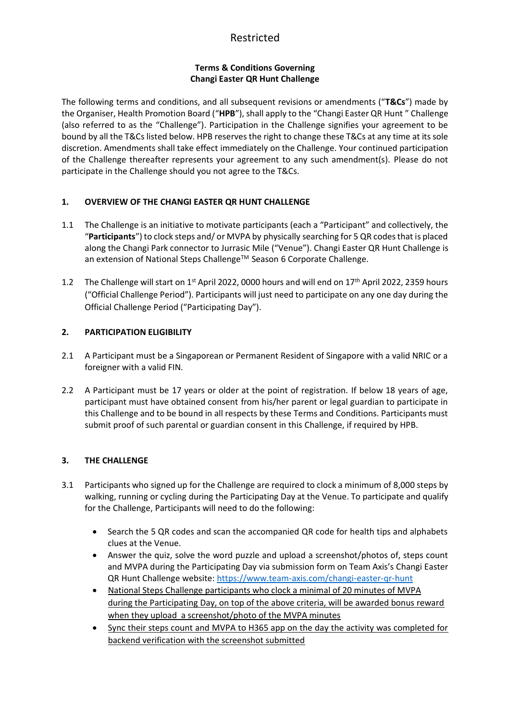# Restricted

#### **Terms & Conditions Governing Changi Easter QR Hunt Challenge**

The following terms and conditions, and all subsequent revisions or amendments ("**T&Cs**") made by the Organiser, Health Promotion Board ("**HPB**"), shall apply to the "Changi Easter QR Hunt " Challenge (also referred to as the "Challenge"). Participation in the Challenge signifies your agreement to be bound by all the T&Cs listed below. HPB reserves the right to change these T&Cs at any time at its sole discretion. Amendments shall take effect immediately on the Challenge. Your continued participation of the Challenge thereafter represents your agreement to any such amendment(s). Please do not participate in the Challenge should you not agree to the T&Cs.

### **1. OVERVIEW OF THE CHANGI EASTER QR HUNT CHALLENGE**

- 1.1 The Challenge is an initiative to motivate participants (each a "Participant" and collectively, the "**Participants**") to clock steps and/ or MVPA by physically searching for 5 QR codes that is placed along the Changi Park connector to Jurrasic Mile ("Venue"). Changi Easter QR Hunt Challenge is an extension of National Steps Challenge™ Season 6 Corporate Challenge.
- 1.2 The Challenge will start on  $1<sup>st</sup>$  April 2022, 0000 hours and will end on  $17<sup>th</sup>$  April 2022, 2359 hours ("Official Challenge Period"). Participants will just need to participate on any one day during the Official Challenge Period ("Participating Day").

### **2. PARTICIPATION ELIGIBILITY**

- 2.1 A Participant must be a Singaporean or Permanent Resident of Singapore with a valid NRIC or a foreigner with a valid FIN.
- 2.2 A Participant must be 17 years or older at the point of registration. If below 18 years of age, participant must have obtained consent from his/her parent or legal guardian to participate in this Challenge and to be bound in all respects by these Terms and Conditions. Participants must submit proof of such parental or guardian consent in this Challenge, if required by HPB.

## **3. THE CHALLENGE**

- 3.1 Participants who signed up for the Challenge are required to clock a minimum of 8,000 steps by walking, running or cycling during the Participating Day at the Venue. To participate and qualify for the Challenge, Participants will need to do the following:
	- Search the 5 QR codes and scan the accompanied QR code for health tips and alphabets clues at the Venue.
	- Answer the quiz, solve the word puzzle and upload a screenshot/photos of, steps count and MVPA during the Participating Day via submission form on Team Axis's Changi Easter QR Hunt Challenge website:<https://www.team-axis.com/changi-easter-qr-hunt>
	- National Steps Challenge participants who clock a minimal of 20 minutes of MVPA during the Participating Day, on top of the above criteria, will be awarded bonus reward when they upload a screenshot/photo of the MVPA minutes
	- Sync their steps count and MVPA to H365 app on the day the activity was completed for backend verification with the screenshot submitted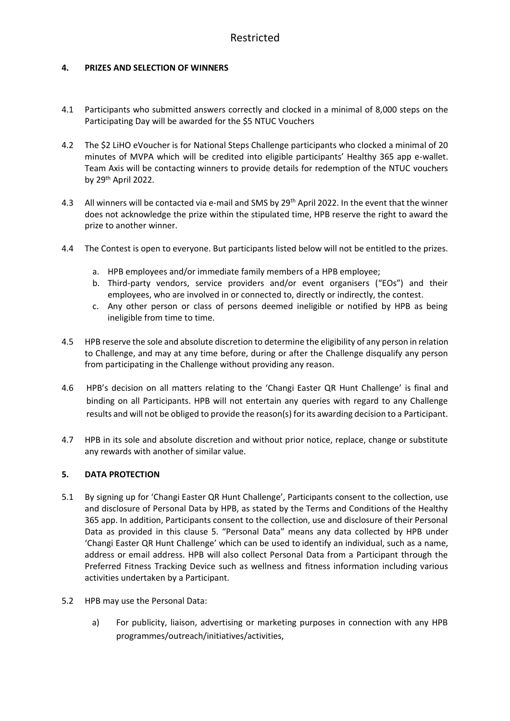#### **4. PRIZES AND SELECTION OF WINNERS**

- 4.1 Participants who submitted answers correctly and clocked in a minimal of 8,000 steps on the Participating Day will be awarded for the \$5 NTUC Vouchers
- 4.2 The \$2 LiHO eVoucher is for National Steps Challenge participants who clocked a minimal of 20 minutes of MVPA which will be credited into eligible participants' Healthy 365 app e-wallet. Team Axis will be contacting winners to provide details for redemption of the NTUC vouchers by 29th April 2022.
- 4.3 All winners will be contacted via e-mail and SMS by 29<sup>th</sup> April 2022. In the event that the winner does not acknowledge the prize within the stipulated time, HPB reserve the right to award the prize to another winner.
- 4.4 The Contest is open to everyone. But participants listed below will not be entitled to the prizes.
	- a. HPB employees and/or immediate family members of a HPB employee;
	- b. Third-party vendors, service providers and/or event organisers ("EOs") and their employees, who are involved in or connected to, directly or indirectly, the contest.
	- c. Any other person or class of persons deemed ineligible or notified by HPB as being ineligible from time to time.
- 4.5 HPB reserve the sole and absolute discretion to determine the eligibility of any person in relation to Challenge, and may at any time before, during or after the Challenge disqualify any person from participating in the Challenge without providing any reason.
- 4.6 HPB's decision on all matters relating to the 'Changi Easter QR Hunt Challenge' is final and binding on all Participants. HPB will not entertain any queries with regard to any Challenge results and will not be obliged to provide the reason(s) for its awarding decision to a Participant.
- 4.7 HPB in its sole and absolute discretion and without prior notice, replace, change or substitute any rewards with another of similar value.

#### **5. DATA PROTECTION**

- 5.1 By signing up for 'Changi Easter QR Hunt Challenge', Participants consent to the collection, use and disclosure of Personal Data by HPB, as stated by the Terms and Conditions of the Healthy 365 app. In addition, Participants consent to the collection, use and disclosure of their Personal Data as provided in this clause 5. "Personal Data" means any data collected by HPB under 'Changi Easter QR Hunt Challenge' which can be used to identify an individual, such as a name, address or email address. HPB will also collect Personal Data from a Participant through the Preferred Fitness Tracking Device such as wellness and fitness information including various activities undertaken by a Participant.
- 5.2 HPB may use the Personal Data:
	- a) For publicity, liaison, advertising or marketing purposes in connection with any HPB programmes/outreach/initiatives/activities,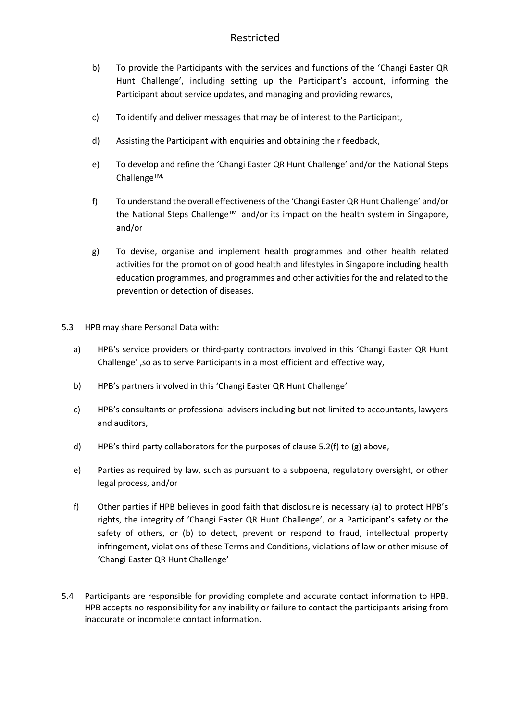# Restricted

- b) To provide the Participants with the services and functions of the 'Changi Easter QR Hunt Challenge', including setting up the Participant's account, informing the Participant about service updates, and managing and providing rewards,
- c) To identify and deliver messages that may be of interest to the Participant,
- d) Assisting the Participant with enquiries and obtaining their feedback,
- e) To develop and refine the 'Changi Easter QR Hunt Challenge' and/or the National Steps Challenge $TM$ ,
- f) To understand the overall effectiveness of the 'Changi Easter QR Hunt Challenge' and/or the National Steps Challenge™ and/or its impact on the health system in Singapore, and/or
- g) To devise, organise and implement health programmes and other health related activities for the promotion of good health and lifestyles in Singapore including health education programmes, and programmes and other activities for the and related to the prevention or detection of diseases.
- 5.3 HPB may share Personal Data with:
	- a) HPB's service providers or third-party contractors involved in this 'Changi Easter QR Hunt Challenge' ,so as to serve Participants in a most efficient and effective way,
	- b) HPB's partners involved in this 'Changi Easter QR Hunt Challenge'
	- c) HPB's consultants or professional advisers including but not limited to accountants, lawyers and auditors,
	- d) HPB's third party collaborators for the purposes of clause 5.2(f) to  $(g)$  above,
	- e) Parties as required by law, such as pursuant to a subpoena, regulatory oversight, or other legal process, and/or
	- f) Other parties if HPB believes in good faith that disclosure is necessary (a) to protect HPB's rights, the integrity of 'Changi Easter QR Hunt Challenge', or a Participant's safety or the safety of others, or (b) to detect, prevent or respond to fraud, intellectual property infringement, violations of these Terms and Conditions, violations of law or other misuse of 'Changi Easter QR Hunt Challenge'
- 5.4 Participants are responsible for providing complete and accurate contact information to HPB. HPB accepts no responsibility for any inability or failure to contact the participants arising from inaccurate or incomplete contact information.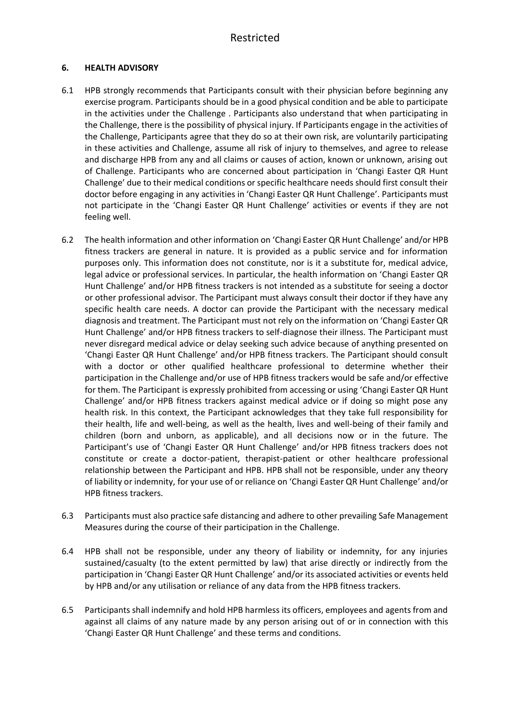#### **6. HEALTH ADVISORY**

- 6.1 HPB strongly recommends that Participants consult with their physician before beginning any exercise program. Participants should be in a good physical condition and be able to participate in the activities under the Challenge . Participants also understand that when participating in the Challenge, there is the possibility of physical injury. If Participants engage in the activities of the Challenge, Participants agree that they do so at their own risk, are voluntarily participating in these activities and Challenge, assume all risk of injury to themselves, and agree to release and discharge HPB from any and all claims or causes of action, known or unknown, arising out of Challenge. Participants who are concerned about participation in 'Changi Easter QR Hunt Challenge' due to their medical conditions or specific healthcare needs should first consult their doctor before engaging in any activities in 'Changi Easter QR Hunt Challenge'. Participants must not participate in the 'Changi Easter QR Hunt Challenge' activities or events if they are not feeling well.
- 6.2 The health information and other information on 'Changi Easter QR Hunt Challenge' and/or HPB fitness trackers are general in nature. It is provided as a public service and for information purposes only. This information does not constitute, nor is it a substitute for, medical advice, legal advice or professional services. In particular, the health information on 'Changi Easter QR Hunt Challenge' and/or HPB fitness trackers is not intended as a substitute for seeing a doctor or other professional advisor. The Participant must always consult their doctor if they have any specific health care needs. A doctor can provide the Participant with the necessary medical diagnosis and treatment. The Participant must not rely on the information on 'Changi Easter QR Hunt Challenge' and/or HPB fitness trackers to self-diagnose their illness. The Participant must never disregard medical advice or delay seeking such advice because of anything presented on 'Changi Easter QR Hunt Challenge' and/or HPB fitness trackers. The Participant should consult with a doctor or other qualified healthcare professional to determine whether their participation in the Challenge and/or use of HPB fitness trackers would be safe and/or effective for them. The Participant is expressly prohibited from accessing or using 'Changi Easter QR Hunt Challenge' and/or HPB fitness trackers against medical advice or if doing so might pose any health risk. In this context, the Participant acknowledges that they take full responsibility for their health, life and well-being, as well as the health, lives and well-being of their family and children (born and unborn, as applicable), and all decisions now or in the future. The Participant's use of 'Changi Easter QR Hunt Challenge' and/or HPB fitness trackers does not constitute or create a doctor-patient, therapist-patient or other healthcare professional relationship between the Participant and HPB. HPB shall not be responsible, under any theory of liability or indemnity, for your use of or reliance on 'Changi Easter QR Hunt Challenge' and/or HPB fitness trackers.
- 6.3 Participants must also practice safe distancing and adhere to other prevailing Safe Management Measures during the course of their participation in the Challenge.
- 6.4 HPB shall not be responsible, under any theory of liability or indemnity, for any injuries sustained/casualty (to the extent permitted by law) that arise directly or indirectly from the participation in 'Changi Easter QR Hunt Challenge' and/or its associated activities or events held by HPB and/or any utilisation or reliance of any data from the HPB fitness trackers.
- 6.5 Participants shall indemnify and hold HPB harmless its officers, employees and agents from and against all claims of any nature made by any person arising out of or in connection with this 'Changi Easter QR Hunt Challenge' and these terms and conditions.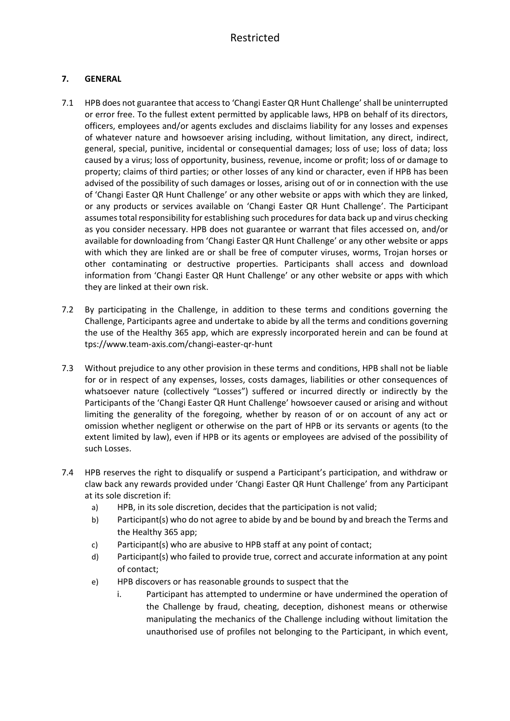### **7. GENERAL**

- 7.1 HPB does not guarantee that access to 'Changi Easter QR Hunt Challenge' shall be uninterrupted or error free. To the fullest extent permitted by applicable laws, HPB on behalf of its directors, officers, employees and/or agents excludes and disclaims liability for any losses and expenses of whatever nature and howsoever arising including, without limitation, any direct, indirect, general, special, punitive, incidental or consequential damages; loss of use; loss of data; loss caused by a virus; loss of opportunity, business, revenue, income or profit; loss of or damage to property; claims of third parties; or other losses of any kind or character, even if HPB has been advised of the possibility of such damages or losses, arising out of or in connection with the use of 'Changi Easter QR Hunt Challenge' or any other website or apps with which they are linked, or any products or services available on 'Changi Easter QR Hunt Challenge'. The Participant assumes total responsibility for establishing such procedures for data back up and virus checking as you consider necessary. HPB does not guarantee or warrant that files accessed on, and/or available for downloading from 'Changi Easter QR Hunt Challenge' or any other website or apps with which they are linked are or shall be free of computer viruses, worms, Trojan horses or other contaminating or destructive properties. Participants shall access and download information from 'Changi Easter QR Hunt Challenge' or any other website or apps with which they are linked at their own risk.
- 7.2 By participating in the Challenge, in addition to these terms and conditions governing the Challenge, Participants agree and undertake to abide by all the terms and conditions governing the use of the Healthy 365 app, which are expressly incorporated herein and can be found at tps://www.team-axis.com/changi-easter-qr-hunt
- 7.3 Without prejudice to any other provision in these terms and conditions, HPB shall not be liable for or in respect of any expenses, losses, costs damages, liabilities or other consequences of whatsoever nature (collectively "Losses") suffered or incurred directly or indirectly by the Participants of the 'Changi Easter QR Hunt Challenge' howsoever caused or arising and without limiting the generality of the foregoing, whether by reason of or on account of any act or omission whether negligent or otherwise on the part of HPB or its servants or agents (to the extent limited by law), even if HPB or its agents or employees are advised of the possibility of such Losses.
- 7.4 HPB reserves the right to disqualify or suspend a Participant's participation, and withdraw or claw back any rewards provided under 'Changi Easter QR Hunt Challenge' from any Participant at its sole discretion if:
	- a) HPB, in its sole discretion, decides that the participation is not valid;
	- b) Participant(s) who do not agree to abide by and be bound by and breach the Terms and the Healthy 365 app;
	- c) Participant(s) who are abusive to HPB staff at any point of contact;
	- d) Participant(s) who failed to provide true, correct and accurate information at any point of contact;
	- e) HPB discovers or has reasonable grounds to suspect that the
		- i. Participant has attempted to undermine or have undermined the operation of the Challenge by fraud, cheating, deception, dishonest means or otherwise manipulating the mechanics of the Challenge including without limitation the unauthorised use of profiles not belonging to the Participant, in which event,